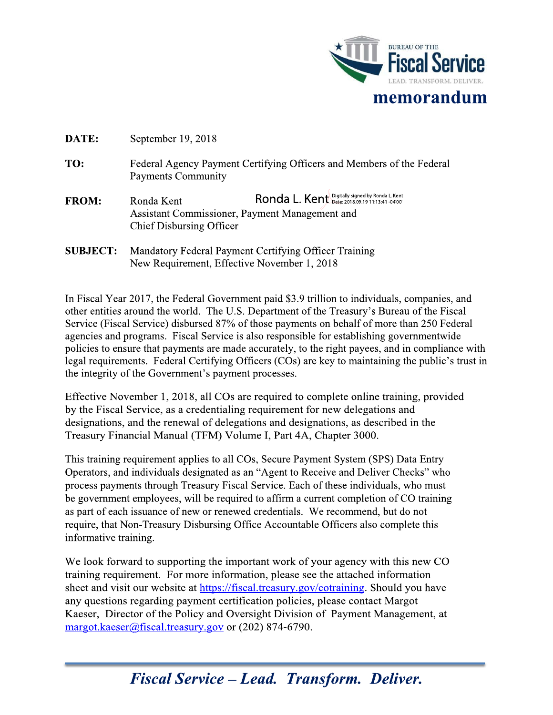

| DATE: | September 19, 2018 |  |
|-------|--------------------|--|
|       |                    |  |

- TO: Federal Agency Payment Certifying Officers and Members of the Federal **Payments Community**
- Ronda L. Kent Digitally signed by Ronda L. Kent Ronda Kent **FROM:** Assistant Commissioner, Payment Management and **Chief Disbursing Officer**
- **SUBJECT:** Mandatory Federal Payment Certifying Officer Training New Requirement, Effective November 1, 2018

In Fiscal Year 2017, the Federal Government paid \$3.9 trillion to individuals, companies, and other entities around the world. The U.S. Department of the Treasury's Bureau of the Fiscal Service (Fiscal Service) disbursed 87% of those payments on behalf of more than 250 Federal agencies and programs. Fiscal Service is also responsible for establishing governmentwide policies to ensure that payments are made accurately, to the right payees, and in compliance with legal requirements. Federal Certifying Officers (COs) are key to maintaining the public's trust in the integrity of the Government's payment processes.

Effective November 1, 2018, all COs are required to complete online training, provided by the Fiscal Service, as a credentialing requirement for new delegations and designations, and the renewal of delegations and designations, as described in the Treasury Financial Manual (TFM) Volume I, Part 4A, Chapter 3000.

This training requirement applies to all COs, Secure Payment System (SPS) Data Entry Operators, and individuals designated as an "Agent to Receive and Deliver Checks" who process payments through Treasury Fiscal Service. Each of these individuals, who must be government employees, will be required to affirm a current completion of CO training as part of each issuance of new or renewed credentials. We recommend, but do not require, that Non-Treasury Disbursing Office Accountable Officers also complete this informative training.

We look forward to supporting the important work of your agency with this new CO training requirement. For more information, please see the attached information sheet and visit our website at https://fiscal.treasury.gov/cotraining. Should you have any questions regarding payment certification policies, please contact Margot Kaeser, Director of the Policy and Oversight Division of Payment Management, at margot.kaeser@fiscal.treasury.gov or (202) 874-6790.

# **Fiscal Service - Lead. Transform. Deliver.**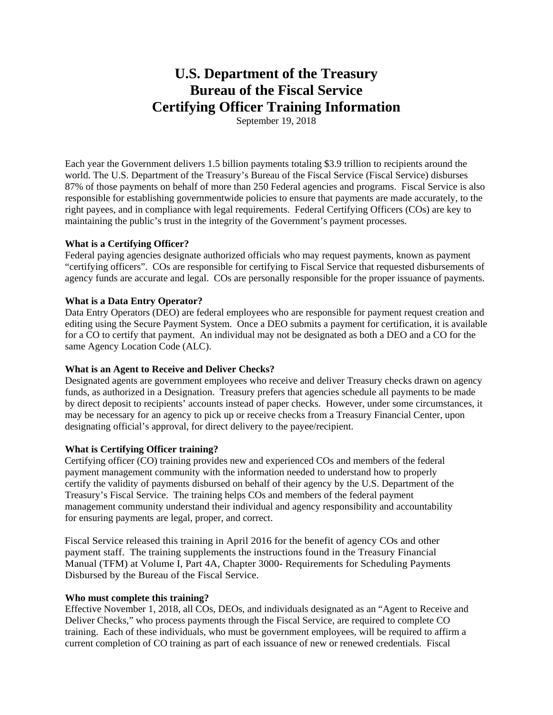## **U.S. Department of the Treasury Bureau of the Fiscal Service Certifying Officer Training Information**

September 19, 2018

Each year the Government delivers 1.5 billion payments totaling \$3.9 trillion to recipients around the world. The U.S. Department of the Treasury's Bureau of the Fiscal Service (Fiscal Service) disburses 87% of those payments on behalf of more than 250 Federal agencies and programs. Fiscal Service is also responsible for establishing governmentwide policies to ensure that payments are made accurately, to the right payees, and in compliance with legal requirements. Federal Certifying Officers (COs) are key to maintaining the public's trust in the integrity of the Government's payment processes.

## **What is a Certifying Officer?**

Federal paying agencies designate authorized officials who may request payments, known as payment "certifying officers". COs are responsible for certifying to Fiscal Service that requested disbursements of agency funds are accurate and legal. COs are personally responsible for the proper issuance of payments.

## **What is a Data Entry Operator?**

Data Entry Operators (DEO) are federal employees who are responsible for payment request creation and editing using the Secure Payment System. Once a DEO submits a payment for certification, it is available for a CO to certify that payment. An individual may not be designated as both a DEO and a CO for the same Agency Location Code (ALC).

## **What is an Agent to Receive and Deliver Checks?**

Designated agents are government employees who receive and deliver Treasury checks drawn on agency funds, as authorized in a Designation. Treasury prefers that agencies schedule all payments to be made by direct deposit to recipients' accounts instead of paper checks. However, under some circumstances, it may be necessary for an agency to pick up or receive checks from a Treasury Financial Center, upon designating official's approval, for direct delivery to the payee/recipient.

#### **What is Certifying Officer training?**

Certifying officer (CO) training provides new and experienced COs and members of the federal payment management community with the information needed to understand how to properly certify the validity of payments disbursed on behalf of their agency by the U.S. Department of the Treasury's Fiscal Service. The training helps COs and members of the federal payment management community understand their individual and agency responsibility and accountability for ensuring payments are legal, proper, and correct.

Fiscal Service released this training in April 2016 for the benefit of agency COs and other payment staff. The training supplements the instructions found in the Treasury Financial Manual (TFM) at Volume I, Part 4A, Chapter 3000- Requirements for Scheduling Payments Disbursed by the Bureau of the Fiscal Service.

#### **Who must complete this training?**

Effective November 1, 2018, all COs, DEOs, and individuals designated as an "Agent to Receive and Deliver Checks," who process payments through the Fiscal Service, are required to complete CO training. Each of these individuals, who must be government employees, will be required to affirm a current completion of CO training as part of each issuance of new or renewed credentials. Fiscal